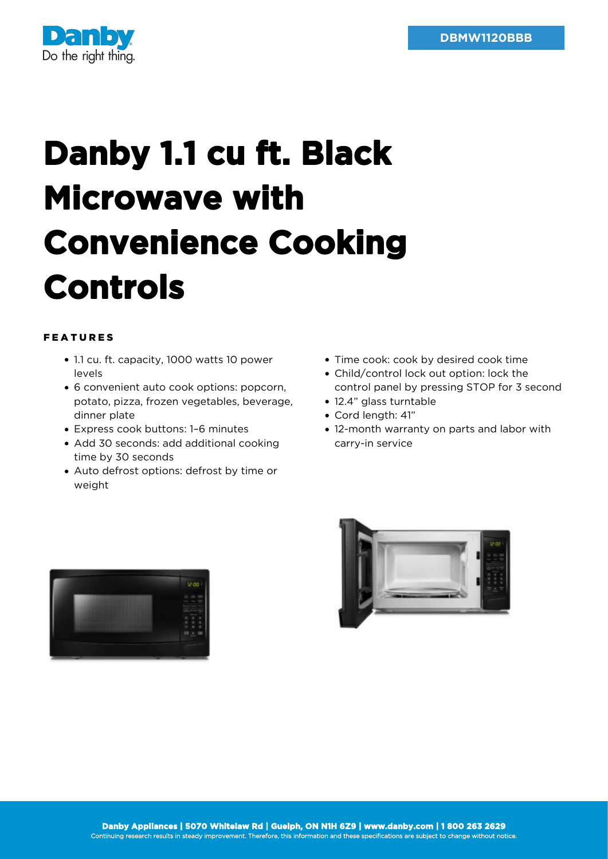

## **Danby 1.1 cu ft. Black Microwave with Convenience Cooking Controls**

## FEATURES

- 1.1 cu. ft. capacity, 1000 watts 10 power levels
- 6 convenient auto cook options: popcorn, potato, pizza, frozen vegetables, beverage, dinner plate
- Express cook buttons: 1–6 minutes
- Add 30 seconds: add additional cooking time by 30 seconds
- Auto defrost options: defrost by time or weight
- Time cook: cook by desired cook time
- Child/control lock out option: lock the control panel by pressing STOP for 3 second
- 12.4" glass turntable
- Cord length: 41"
- 12-month warranty on parts and labor with carry-in service